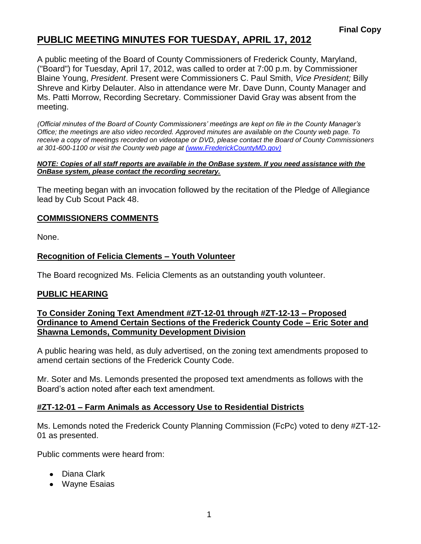A public meeting of the Board of County Commissioners of Frederick County, Maryland, ("Board") for Tuesday, April 17, 2012, was called to order at 7:00 p.m. by Commissioner Blaine Young, *President*. Present were Commissioners C. Paul Smith, *Vice President;* Billy Shreve and Kirby Delauter. Also in attendance were Mr. Dave Dunn, County Manager and Ms. Patti Morrow, Recording Secretary. Commissioner David Gray was absent from the meeting.

*(Official minutes of the Board of County Commissioners' meetings are kept on file in the County Manager's Office; the meetings are also video recorded. Approved minutes are available on the County web page. To receive a copy of meetings recorded on videotape or DVD, please contact the Board of County Commissioners at 301-600-1100 or visit the County web page at [\(www.FrederickCountyMD.gov\)](file://NT1S5/BOCC/BOCC/BOCC%20Minutes/Patti)*

#### *NOTE: Copies of all staff reports are available in the OnBase system. If you need assistance with the OnBase system, please contact the recording secretary.*

The meeting began with an invocation followed by the recitation of the Pledge of Allegiance lead by Cub Scout Pack 48.

## **COMMISSIONERS COMMENTS**

None.

## **Recognition of Felicia Clements – Youth Volunteer**

The Board recognized Ms. Felicia Clements as an outstanding youth volunteer.

### **PUBLIC HEARING**

### **To Consider Zoning Text Amendment #ZT-12-01 through #ZT-12-13 – Proposed Ordinance to Amend Certain Sections of the Frederick County Code – Eric Soter and Shawna Lemonds, Community Development Division**

A public hearing was held, as duly advertised, on the zoning text amendments proposed to amend certain sections of the Frederick County Code.

Mr. Soter and Ms. Lemonds presented the proposed text amendments as follows with the Board's action noted after each text amendment.

### **#ZT-12-01 – Farm Animals as Accessory Use to Residential Districts**

Ms. Lemonds noted the Frederick County Planning Commission (FcPc) voted to deny #ZT-12- 01 as presented.

Public comments were heard from:

- Diana Clark
- Wayne Esaias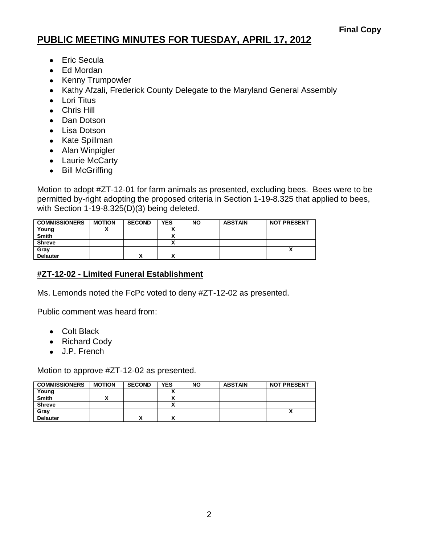- Eric Secula
- Ed Mordan
- Kenny Trumpowler
- Kathy Afzali, Frederick County Delegate to the Maryland General Assembly
- Lori Titus
- Chris Hill
- Dan Dotson
- Lisa Dotson
- Kate Spillman
- Alan Winpigler
- Laurie McCarty
- Bill McGriffing

Motion to adopt #ZT-12-01 for farm animals as presented, excluding bees. Bees were to be permitted by-right adopting the proposed criteria in Section 1-19-8.325 that applied to bees, with Section 1-19-8.325(D)(3) being deleted.

| <b>COMMISSIONERS</b> | <b>MOTION</b> | <b>SECOND</b> | <b>YES</b> | <b>NO</b> | <b>ABSTAIN</b> | <b>NOT PRESENT</b> |
|----------------------|---------------|---------------|------------|-----------|----------------|--------------------|
| Young                |               |               |            |           |                |                    |
| <b>Smith</b>         |               |               |            |           |                |                    |
| <b>Shreve</b>        |               |               |            |           |                |                    |
| Gray                 |               |               |            |           |                | ~                  |
| <b>Delauter</b>      |               | Λ             | ~          |           |                |                    |

## **#ZT-12-02 - Limited Funeral Establishment**

Ms. Lemonds noted the FcPc voted to deny #ZT-12-02 as presented.

Public comment was heard from:

- Colt Black
- Richard Cody
- J.P. French

Motion to approve #ZT-12-02 as presented.

| <b>COMMISSIONERS</b> | <b>MOTION</b> | <b>SECOND</b> | <b>YES</b> | <b>NO</b> | <b>ABSTAIN</b> | <b>NOT PRESENT</b> |
|----------------------|---------------|---------------|------------|-----------|----------------|--------------------|
| Young                |               |               |            |           |                |                    |
| <b>Smith</b>         |               |               |            |           |                |                    |
| <b>Shreve</b>        |               |               |            |           |                |                    |
| Grav                 |               |               |            |           |                |                    |
| <b>Delauter</b>      |               | 灬             |            |           |                |                    |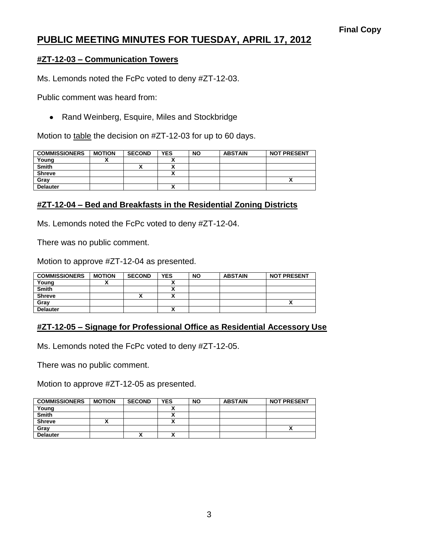### **#ZT-12-03 – Communication Towers**

Ms. Lemonds noted the FcPc voted to deny #ZT-12-03.

Public comment was heard from:

• Rand Weinberg, Esquire, Miles and Stockbridge

Motion to table the decision on #ZT-12-03 for up to 60 days.

| <b>COMMISSIONERS</b> | <b>MOTION</b> | <b>SECOND</b> | <b>YES</b>               | <b>NO</b> | <b>ABSTAIN</b> | <b>NOT PRESENT</b> |
|----------------------|---------------|---------------|--------------------------|-----------|----------------|--------------------|
| Young                |               |               |                          |           |                |                    |
| <b>Smith</b>         |               | Λ             |                          |           |                |                    |
| <b>Shreve</b>        |               |               | $\overline{\phantom{a}}$ |           |                |                    |
| Gray                 |               |               |                          |           |                |                    |
| <b>Delauter</b>      |               |               | $\overline{\phantom{a}}$ |           |                |                    |

## **#ZT-12-04 – Bed and Breakfasts in the Residential Zoning Districts**

Ms. Lemonds noted the FcPc voted to deny #ZT-12-04.

There was no public comment.

Motion to approve #ZT-12-04 as presented.

| <b>COMMISSIONERS</b> | <b>MOTION</b> | <b>SECOND</b> | <b>YES</b> | <b>NO</b> | <b>ABSTAIN</b> | <b>NOT PRESENT</b> |
|----------------------|---------------|---------------|------------|-----------|----------------|--------------------|
| Young                |               |               |            |           |                |                    |
| <b>Smith</b>         |               |               | ~          |           |                |                    |
| <b>Shreve</b>        |               |               | ~          |           |                |                    |
| Gray                 |               |               |            |           |                |                    |
| <b>Delauter</b>      |               |               | ~          |           |                |                    |

## **#ZT-12-05 – Signage for Professional Office as Residential Accessory Use**

Ms. Lemonds noted the FcPc voted to deny #ZT-12-05.

There was no public comment.

Motion to approve #ZT-12-05 as presented.

| <b>COMMISSIONERS</b> | <b>MOTION</b> | <b>SECOND</b> | <b>YES</b> | <b>NO</b> | <b>ABSTAIN</b> | <b>NOT PRESENT</b> |
|----------------------|---------------|---------------|------------|-----------|----------------|--------------------|
| Young                |               |               |            |           |                |                    |
| <b>Smith</b>         |               |               |            |           |                |                    |
| <b>Shreve</b>        |               |               |            |           |                |                    |
| Gray                 |               |               |            |           |                |                    |
| <b>Delauter</b>      |               | Λ             |            |           |                |                    |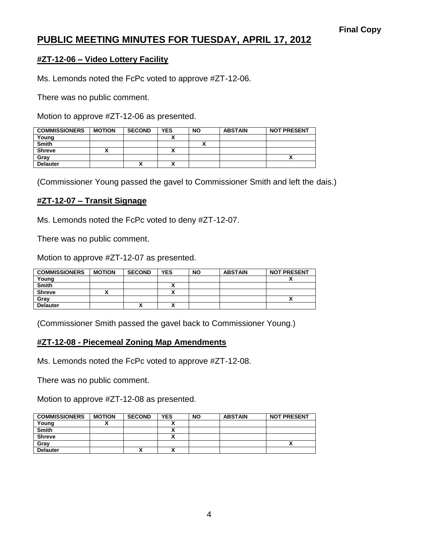## **#ZT-12-06 – Video Lottery Facility**

Ms. Lemonds noted the FcPc voted to approve #ZT-12-06.

There was no public comment.

Motion to approve #ZT-12-06 as presented.

| <b>COMMISSIONERS</b> | <b>MOTION</b> | <b>SECOND</b> | <b>YES</b> | <b>NO</b> | <b>ABSTAIN</b> | <b>NOT PRESENT</b> |
|----------------------|---------------|---------------|------------|-----------|----------------|--------------------|
| Young                |               |               |            |           |                |                    |
| <b>Smith</b>         |               |               |            |           |                |                    |
| <b>Shreve</b>        |               |               |            |           |                |                    |
| Grav                 |               |               |            |           |                |                    |
| <b>Delauter</b>      |               | ↗             |            |           |                |                    |

(Commissioner Young passed the gavel to Commissioner Smith and left the dais.)

#### **#ZT-12-07 – Transit Signage**

Ms. Lemonds noted the FcPc voted to deny #ZT-12-07.

There was no public comment.

Motion to approve #ZT-12-07 as presented.

| <b>COMMISSIONERS</b> | <b>MOTION</b> | <b>SECOND</b> | <b>YES</b> | <b>NO</b> | <b>ABSTAIN</b> | <b>NOT PRESENT</b> |
|----------------------|---------------|---------------|------------|-----------|----------------|--------------------|
| Young                |               |               |            |           |                |                    |
| <b>Smith</b>         |               |               |            |           |                |                    |
| <b>Shreve</b>        |               |               |            |           |                |                    |
| Gray                 |               |               |            |           |                | ~                  |
| <b>Delauter</b>      |               | ↗             |            |           |                |                    |

(Commissioner Smith passed the gavel back to Commissioner Young.)

### **#ZT-12-08 - Piecemeal Zoning Map Amendments**

Ms. Lemonds noted the FcPc voted to approve #ZT-12-08.

There was no public comment.

Motion to approve #ZT-12-08 as presented.

| <b>COMMISSIONERS</b> | <b>MOTION</b> | <b>SECOND</b> | <b>YES</b> | <b>NO</b> | <b>ABSTAIN</b> | <b>NOT PRESENT</b> |
|----------------------|---------------|---------------|------------|-----------|----------------|--------------------|
| Young                |               |               |            |           |                |                    |
| <b>Smith</b>         |               |               |            |           |                |                    |
| <b>Shreve</b>        |               |               |            |           |                |                    |
| Gray                 |               |               |            |           |                |                    |
| <b>Delauter</b>      |               | ^             |            |           |                |                    |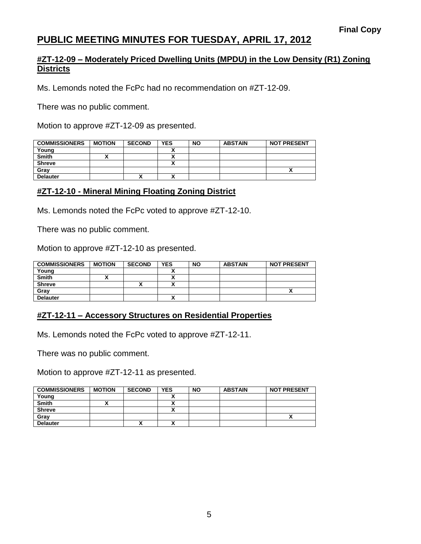### **#ZT-12-09 – Moderately Priced Dwelling Units (MPDU) in the Low Density (R1) Zoning Districts**

Ms. Lemonds noted the FcPc had no recommendation on #ZT-12-09.

There was no public comment.

Motion to approve #ZT-12-09 as presented.

| <b>COMMISSIONERS</b> | <b>MOTION</b> | <b>SECOND</b> | <b>YES</b> | <b>NO</b> | <b>ABSTAIN</b> | <b>NOT PRESENT</b> |
|----------------------|---------------|---------------|------------|-----------|----------------|--------------------|
| Young                |               |               |            |           |                |                    |
| <b>Smith</b>         |               |               |            |           |                |                    |
| <b>Shreve</b>        |               |               |            |           |                |                    |
| Gray                 |               |               |            |           |                |                    |
| <b>Delauter</b>      |               |               |            |           |                |                    |

## **#ZT-12-10 - Mineral Mining Floating Zoning District**

Ms. Lemonds noted the FcPc voted to approve #ZT-12-10.

There was no public comment.

Motion to approve #ZT-12-10 as presented.

| <b>COMMISSIONERS</b> | <b>MOTION</b> | <b>SECOND</b> | <b>YES</b> | <b>NO</b> | <b>ABSTAIN</b> | <b>NOT PRESENT</b> |
|----------------------|---------------|---------------|------------|-----------|----------------|--------------------|
| Young                |               |               |            |           |                |                    |
| <b>Smith</b>         |               |               | v          |           |                |                    |
| <b>Shreve</b>        |               | 灬             | ٠.<br>^    |           |                |                    |
| Gray                 |               |               |            |           |                | ~                  |
| <b>Delauter</b>      |               |               |            |           |                |                    |

## **#ZT-12-11 – Accessory Structures on Residential Properties**

Ms. Lemonds noted the FcPc voted to approve #ZT-12-11.

There was no public comment.

Motion to approve #ZT-12-11 as presented.

| <b>COMMISSIONERS</b> | <b>MOTION</b> | <b>SECOND</b> | <b>YES</b> | <b>NO</b> | <b>ABSTAIN</b> | <b>NOT PRESENT</b> |
|----------------------|---------------|---------------|------------|-----------|----------------|--------------------|
| Young                |               |               |            |           |                |                    |
| <b>Smith</b>         |               |               |            |           |                |                    |
| <b>Shreve</b>        |               |               |            |           |                |                    |
| Gray                 |               |               |            |           |                |                    |
| <b>Delauter</b>      |               | Λ             |            |           |                |                    |